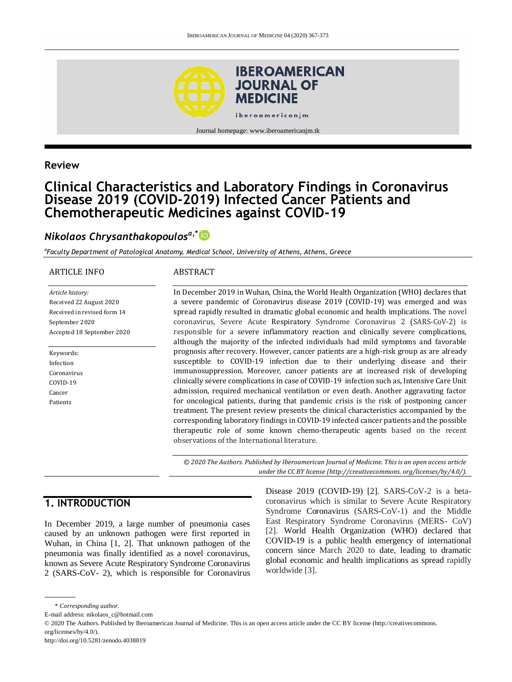

Journal homepage: www.iberoamericanjm.tk

### **Review**

# **Clinical Characteristics and Laboratory Findings in Coronavirus Disease 2019 (COVID-2019) Infected Cancer Patients and Chemotherapeutic Medicines against COVID-19**

# *Nikolaos Chrysanthakopoulosa,\**

*a Faculty Department of Patological Anatomy, Medical School, University of Athens, Athens, Greece*

#### ARTICLE INFO

#### ABSTRACT

*Article history:* Received 22 August 2020 Received in revised form 14 September 2020 Accepted 18 September 2020

Keywords: Infection Coronavirus COVID-19 Cancer Patients

In December 2019 in Wuhan, China, the World Health Organization (WHO) declares that a severe pandemic of Coronavirus disease 2019 (COVID-19) was emerged and was spread rapidly resulted in dramatic global economic and health implications. The novel coronavirus, Severe Acute Respiratory Syndrome Coronavirus 2 (SARS-CoV-2) is responsible for a severe inflammatory reaction and clinically severe complications, although the majority of the infected individuals had mild symptoms and favorable prognosis after recovery. However, cancer patients are a high-risk group as are already susceptible to COVID-19 infection due to their underlying disease and their immunosuppression. Moreover, cancer patients are at increased risk of developing clinically severe complications in case of COVID-19 infection such as, Intensive Care Unit admission, required mechanical ventilation or even death. Another aggravating factor for oncological patients, during that pandemic crisis is the risk of postponing cancer treatment. The present review presents the clinical characteristics accompanied by the corresponding laboratory findings in COVID-19 infected cancer patients and the possible therapeutic role of some known chemo-therapeutic agents based on the recent observations of the International literature.

*© 2020 The Authors. Published by Iberoamerican Journal of Medicine. This is an open access article under the CC BY license (http:/[/creativecommons. org/licenses/by/4.0/\)](https://creativecommons.org/licenses/by/4.0/).*

# **1. INTRODUCTION**

In December 2019, a large number of pneumonia cases caused by an unknown pathogen were first reported in Wuhan, in China [1, 2]. That unknown pathogen of the pneumonia was finally identified as a novel coronavirus, known as Severe Acute Respiratory Syndrome Coronavirus 2 (SARS-CoV- 2), which is responsible for Coronavirus Disease 2019 (COVID-19) [2]. SARS-CoV-2 is a betacoronavirus which is similar to Severe Acute Respiratory Syndrome Coronavirus (SARS-CoV-1) and the Middle East Respiratory Syndrome Coronavirus (MERS- CoV) [2]. World Health Organization (WHO) declared that COVID-19 is a public health emergency of international concern since March 2020 to date, leading to dramatic global economic and health implications as spread rapidly worldwide [3].

<sup>\*</sup> *Corresponding author.*

E-mail address: nikolaos\_c@hotmail.com

<sup>© 2020</sup> The Authors. Published by Iberoamerican Journal of Medicine. This is an open access article under the CC BY license (http://creativecommons. org/licenses/by/4.0/).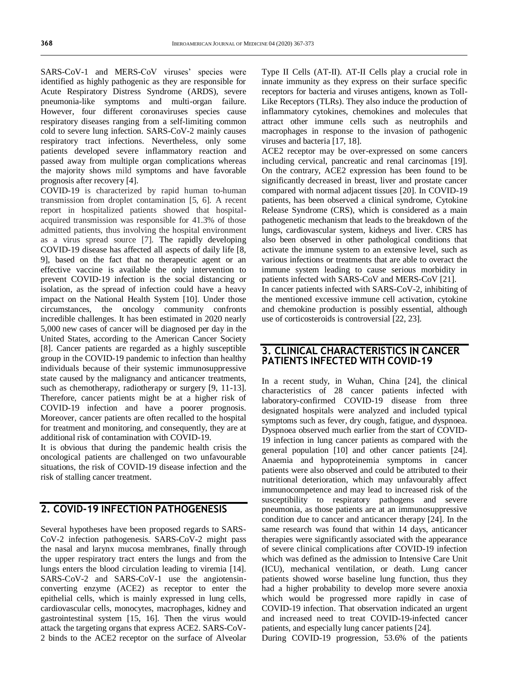SARS-CoV-1 and MERS-CoV viruses' species were identified as highly pathogenic as they are responsible for Acute Respiratory Distress Syndrome (ARDS), severe pneumonia-like symptoms and multi-organ failure. However, four different coronaviruses species cause respiratory diseases ranging from a self-limiting common cold to severe lung infection. SARS-CoV-2 mainly causes respiratory tract infections. Nevertheless, only some patients developed severe inflammatory reaction and passed away from multiple organ complications whereas the majority shows mild symptoms and have favorable prognosis after recovery [4].

COVID-19 is characterized by rapid human to-human transmission from droplet contamination [5, 6]. A recent report in hospitalized patients showed that hospitalacquired transmission was responsible for 41.3% of those admitted patients, thus involving the hospital environment as a virus spread source [7]. The rapidly developing COVID-19 disease has affected all aspects of daily life [8, 9], based on the fact that no therapeutic agent or an effective vaccine is available the only intervention to prevent COVID-19 infection is the social distancing or isolation, as the spread of infection could have a heavy impact on the National Health System [10]. Under those circumstances, the oncology community confronts incredible challenges. It has been estimated in 2020 nearly 5,000 new cases of cancer will be diagnosed per day in the United States, according to the American Cancer Society [8]. Cancer patients are regarded as a highly susceptible group in the COVID-19 pandemic to infection than healthy individuals because of their systemic immunosuppressive state caused by the malignancy and anticancer treatments, such as chemotherapy, radiotherapy or surgery [9, 11-13]. Therefore, cancer patients might be at a higher risk of COVID-19 infection and have a poorer prognosis. Moreover, cancer patients are often recalled to the hospital for treatment and monitoring, and consequently, they are at additional risk of contamination with COVID-19.

It is obvious that during the pandemic health crisis the oncological patients are challenged on two unfavourable situations, the risk of COVID-19 disease infection and the risk of stalling cancer treatment.

## **2. COVID-19 INFECTION PATHOGENESIS**

Several hypotheses have been proposed regards to SARS-CoV-2 infection pathogenesis. SARS-CoV-2 might pass the nasal and larynx mucosa membranes, finally through the upper respiratory tract enters the lungs and from the lungs enters the blood circulation leading to viremia [14]. SARS-CoV-2 and SARS-CoV-1 use the angiotensinconverting enzyme (ACE2) as receptor to enter the epithelial cells, which is mainly expressed in lung cells, cardiovascular cells, monocytes, macrophages, kidney and gastrointestinal system [15, 16]. Then the virus would attack the targeting organs that express ACE2. SARS-CoV-2 binds to the ACE2 receptor on the surface of Alveolar Type II Cells (AT-II). AT-II Cells play a crucial role in innate immunity as they express on their surface specific receptors for bacteria and viruses antigens, known as Toll-Like Receptors (TLRs). They also induce the production of inflammatory cytokines, chemokines and molecules that attract other immune cells such as neutrophils and macrophages in response to the invasion of pathogenic viruses and bacteria [17, 18].

ACE2 receptor may be over-expressed on some cancers including cervical, pancreatic and renal carcinomas [19]. On the contrary, ACE2 expression has been found to be significantly decreased in breast, liver and prostate cancer compared with normal adjacent tissues [20]. In COVID-19 patients, has been observed a clinical syndrome, Cytokine Release Syndrome (CRS), which is considered as a main pathogenetic mechanism that leads to the breakdown of the lungs, cardiovascular system, kidneys and liver. CRS has also been observed in other pathological conditions that activate the immune system to an extensive level, such as various infections or treatments that are able to overact the immune system leading to cause serious morbidity in patients infected with SARS-CoV and MERS-CoV [21].

In cancer patients infected with SARS-CoV-2, inhibiting of the mentioned excessive immune cell activation, cytokine and chemokine production is possibly essential, although use of corticosteroids is controversial [22, 23].

## **3. CLINICAL CHARACTERISTICS IN CANCER PATIENTS INFECTED WITH COVID-19**

In a recent study, in Wuhan, China [24], the clinical characteristics of 28 cancer patients infected with laboratory-confirmed COVID-19 disease from three designated hospitals were analyzed and included typical symptoms such as fever, dry cough, fatigue, and dyspnoea. Dyspnoea observed much earlier from the start of COVID-19 infection in lung cancer patients as compared with the general population [10] and other cancer patients [24]. Anaemia and hypoproteinemia symptoms in cancer patients were also observed and could be attributed to their nutritional deterioration, which may unfavourably affect immunocompetence and may lead to increased risk of the susceptibility to respiratory pathogens and severe pneumonia, as those patients are at an immunosuppressive condition due to cancer and anticancer therapy [24]. In the same research was found that within 14 days, anticancer therapies were significantly associated with the appearance of severe clinical complications after COVID-19 infection which was defined as the admission to Intensive Care Unit (ICU), mechanical ventilation, or death. Lung cancer patients showed worse baseline lung function, thus they had a higher probability to develop more severe anoxia which would be progressed more rapidly in case of COVID-19 infection. That observation indicated an urgent and increased need to treat COVID-19-infected cancer patients, and especially lung cancer patients [24].

During COVID-19 progression, 53.6% of the patients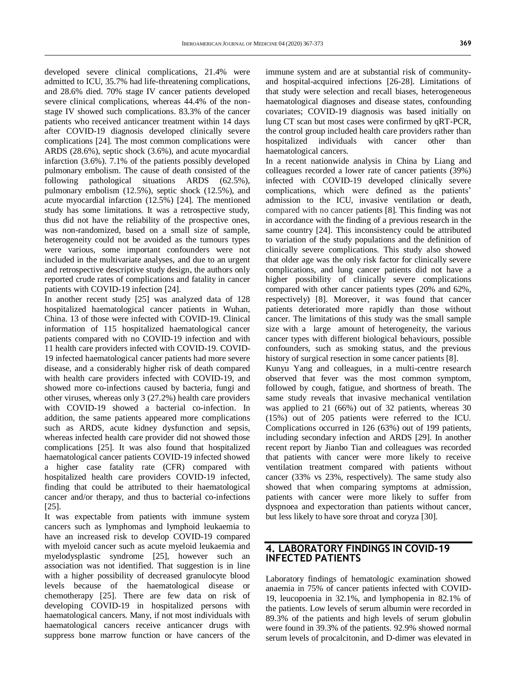developed severe clinical complications, 21.4% were admitted to ICU, 35.7% had life-threatening complications, and 28.6% died. 70% stage IV cancer patients developed severe clinical complications, whereas 44.4% of the nonstage IV showed such complications. 83.3% of the cancer patients who received anticancer treatment within 14 days after COVID-19 diagnosis developed clinically severe complications [24]. The most common complications were ARDS (28.6%), septic shock (3.6%), and acute myocardial infarction (3.6%). 7.1% of the patients possibly developed pulmonary embolism. The cause of death consisted of the following pathological situations ARDS (62.5%), pulmonary embolism (12.5%), septic shock (12.5%), and acute myocardial infarction (12.5%) [24]. The mentioned study has some limitations. It was a retrospective study, thus did not have the reliability of the prospective ones, was non-randomized, based on a small size of sample, heterogeneity could not be avoided as the tumours types were various, some important confounders were not included in the multivariate analyses, and due to an urgent and retrospective descriptive study design, the authors only reported crude rates of complications and fatality in cancer patients with COVID-19 infection [24].

In another recent study [25] was analyzed data of 128 hospitalized haematological cancer patients in Wuhan, China. 13 of those were infected with COVID-19. Clinical information of 115 hospitalized haematological cancer patients compared with no COVID-19 infection and with 11 health care providers infected with COVID-19. COVID-19 infected haematological cancer patients had more severe disease, and a considerably higher risk of death compared with health care providers infected with COVID-19, and showed more co-infections caused by bacteria, fungi and other viruses, whereas only 3 (27.2%) health care providers with COVID-19 showed a bacterial co-infection. In addition, the same patients appeared more complications such as ARDS, acute kidney dysfunction and sepsis, whereas infected health care provider did not showed those complications [25]. It was also found that hospitalized haematological cancer patients COVID-19 infected showed a higher case fatality rate (CFR) compared with hospitalized health care providers COVID-19 infected, finding that could be attributed to their haematological cancer and/or therapy, and thus to bacterial co-infections [25].

It was expectable from patients with immune system cancers such as lymphomas and lymphoid leukaemia to have an increased risk to develop COVID-19 compared with myeloid cancer such as acute myeloid leukaemia and myelodysplastic syndrome [25], however such an association was not identified. That suggestion is in line with a higher possibility of decreased granulocyte blood levels because of the haematological disease or chemotherapy [25]. There are few data on risk of developing COVID-19 in hospitalized persons with haematological cancers. Many, if not most individuals with haematological cancers receive anticancer drugs with suppress bone marrow function or have cancers of the

immune system and are at substantial risk of communityand hospital-acquired infections [26-28]. Limitations of that study were selection and recall biases, heterogeneous haematological diagnoses and disease states, confounding covariates; COVID-19 diagnosis was based initially on lung CT scan but most cases were confirmed by qRT-PCR, the control group included health care providers rather than hospitalized individuals with cancer other than haematological cancers.

In a recent nationwide analysis in China by Liang and colleagues recorded a lower rate of cancer patients (39%) infected with COVID-19 developed clinically severe complications, which were defined as the patients' admission to the ICU, invasive ventilation or death, compared with no cancer patients [8]. This finding was not in accordance with the finding of a previous research in the same country [24]. This inconsistency could be attributed to variation of the study populations and the definition of clinically severe complications. This study also showed that older age was the only risk factor for clinically severe complications, and lung cancer patients did not have a higher possibility of clinically severe complications compared with other cancer patients types (20% and 62%, respectively) [8]. Moreover, it was found that cancer patients deteriorated more rapidly than those without cancer. The limitations of this study was the small sample size with a large amount of heterogeneity, the various cancer types with different biological behaviours, possible confounders, such as smoking status, and the previous history of surgical resection in some cancer patients [8].

Kunyu Yang and colleagues, in a multi-centre research observed that fever was the most common symptom, followed by cough, fatigue, and shortness of breath. The same study reveals that invasive mechanical ventilation was applied to 21 (66%) out of 32 patients, whereas 30 (15%) out of 205 patients were referred to the ICU. Complications occurred in 126 (63%) out of 199 patients, including secondary infection and ARDS [29]. In another recent report by Jianbo Tian and colleagues was recorded that patients with cancer were more likely to receive ventilation treatment compared with patients without cancer (33% vs 23%, respectively). The same study also showed that when comparing symptoms at admission, patients with cancer were more likely to suffer from dyspnoea and expectoration than patients without cancer, but less likely to have sore throat and coryza [30].

#### **4. LABORATORY FINDINGS IN COVID-19 INFECTED PATIENTS**

Laboratory findings of hematologic examination showed anaemia in 75% of cancer patients infected with COVID-19, leucopoenia in 32.1%, and lymphopenia in 82.1% of the patients. Low levels of serum albumin were recorded in 89.3% of the patients and high levels of serum globulin were found in 39.3% of the patients. 92.9% showed normal serum levels of procalcitonin, and D-dimer was elevated in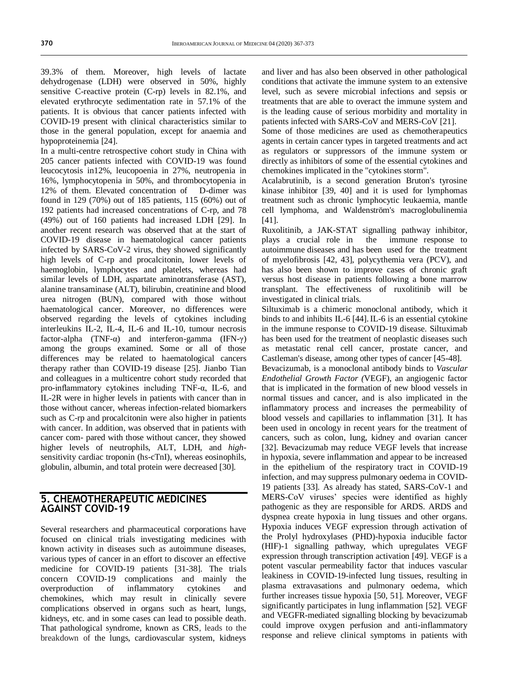39.3% of them. Moreover, high levels of lactate dehydrogenase (LDH) were observed in 50%, highly sensitive C-reactive protein (C-rp) levels in 82.1%, and elevated erythrocyte sedimentation rate in 57.1% of the patients. It is obvious that cancer patients infected with COVID-19 present with clinical characteristics similar to those in the general population, except for anaemia and hypoproteinemia [24].

In a multi-centre retrospective cohort study in China with 205 cancer patients infected with COVID-19 was found leucocytosis in12%, leucopoenia in 27%, neutropenia in 16%, lymphocytopenia in 50%, and thrombocytopenia in 12% of them. Elevated concentration of D-dimer was found in 129 (70%) out of 185 patients, 115 (60%) out of 192 patients had increased concentrations of C-rp, and 78 (49%) out of 160 patients had increased LDH [29]. In another recent research was observed that at the start of COVID-19 disease in haematological cancer patients infected by SARS-CoV-2 virus, they showed significantly high levels of C-rp and procalcitonin, lower levels of haemoglobin, lymphocytes and platelets, whereas had similar levels of LDH, aspartate aminotransferase (AST), alanine transaminase (ALT), bilirubin, creatinine and blood urea nitrogen (BUN), compared with those without haematological cancer. Moreover, no differences were observed regarding the levels of cytokines including interleukins IL-2, IL-4, IL-6 and IL-10, tumour necrosis factor-alpha (TNF- $\alpha$ ) and interferon-gamma (IFN- $\gamma$ ) among the groups examined. Some or all of those differences may be related to haematological cancers therapy rather than COVID-19 disease [25]. Jianbo Tian and colleagues in a multicentre cohort study recorded that pro-inflammatory cytokines including TNF-α, IL-6, and IL-2R were in higher levels in patients with cancer than in those without cancer, whereas infection-related biomarkers such as C-rp and procalcitonin were also higher in patients with cancer. In addition, was observed that in patients with cancer com- pared with those without cancer, they showed higher levels of neutrophils, ALT, LDH, and *high*sensitivity cardiac troponin (hs-cTnI), whereas eosinophils, globulin, albumin, and total protein were decreased [30].

#### **5. CHEMOTHERAPEUTIC MEDICINES AGAINST COVID-19**

Several researchers and pharmaceutical corporations have focused on clinical trials investigating medicines with known activity in diseases such as autoimmune diseases, various types of cancer in an effort to discover an effective medicine for COVID-19 patients [31-38]. The trials concern COVID-19 complications and mainly the overproduction of inflammatory cytokines and chemokines, which may result in clinically severe complications observed in organs such as heart, lungs, kidneys, etc. and in some cases can lead to possible death. That pathological syndrome, known as CRS, leads to the breakdown of the lungs, cardiovascular system, kidneys

and liver and has also been observed in other pathological conditions that activate the immune system to an extensive level, such as severe microbial infections and sepsis or treatments that are able to overact the immune system and is the leading cause of serious morbidity and mortality in patients infected with SARS-CoV and MERS-CoV [21].

Some of those medicines are used as chemotherapeutics agents in certain cancer types in targeted treatments and act as regulators or suppressors of the immune system or directly as inhibitors of some of the essential cytokines and chemokines implicated in the "cytokines storm".

Acalabrutinib, is a second generation Bruton's tyrosine kinase inhibitor [39, 40] and it is used for lymphomas treatment such as chronic lymphocytic leukaemia, mantle cell lymphoma, and Waldenström's macroglobulinemia [41].

Ruxolitinib, a JAK-STAT signalling pathway inhibitor, plays a crucial role in the immune response to autoimmune diseases and has been used for the treatment of myelofibrosis [42, 43], polycythemia vera (PCV), and has also been shown to improve cases of chronic graft versus host disease in patients following a bone marrow transplant. The effectiveness of ruxolitinib will be investigated in clinical trials.

Siltuximab is a chimeric monoclonal antibody, which it binds to and inhibits [IL-6](https://en.wikipedia.org/wiki/Interleukin-6) [44].IL-6 is an essential cytokine in the immune response to COVID-19 disease. Siltuximab has been used for the treatment of neoplastic diseases such as [metastatic](https://en.wikipedia.org/wiki/Metastatic) renal cell cancer, prostate cancer, and Castleman's disease, among other types of cancer [45-48].

Bevacizumab, is a monoclonal antibody binds to *Vascular Endothelial Growth Factor (*VEGF), an angiogenic factor that is implicated in the formation of new blood vessels in normal tissues and cancer, and is also implicated in the inflammatory process and increases the permeability of blood vessels and capillaries to inflammation [31]. It has been used in oncology in recent years for the treatment of cancers, such as colon, lung, kidney and ovarian cancer [32]. Bevacizumab may reduce VEGF levels that increase in hypoxia, severe inflammation and appear to be increased in the epithelium of the respiratory tract in COVID-19 infection, and may suppress pulmonary oedema in COVID-19 patients [33]. As already has stated, SARS-CoV-1 and MERS-CoV viruses' species were identified as highly pathogenic as they are responsible for ARDS. ARDS and dyspnea create hypoxia in lung tissues and other organs. Hypoxia induces VEGF expression through activation of the Prolyl hydroxylases (PHD)-hypoxia inducible factor (HIF)-1 signalling pathway, which upregulates VEGF expression through transcription activation [49]. VEGF is a potent vascular permeability factor that induces vascular leakiness in COVID-19-infected lung tissues, resulting in plasma extravasations and pulmonary oedema, which further increases tissue hypoxia [50, 51]. Moreover, VEGF significantly participates in lung inflammation [52]. VEGF and VEGFR-mediated signalling blocking by bevacizumab could improve oxygen perfusion and anti-inflammatory response and relieve clinical symptoms in patients with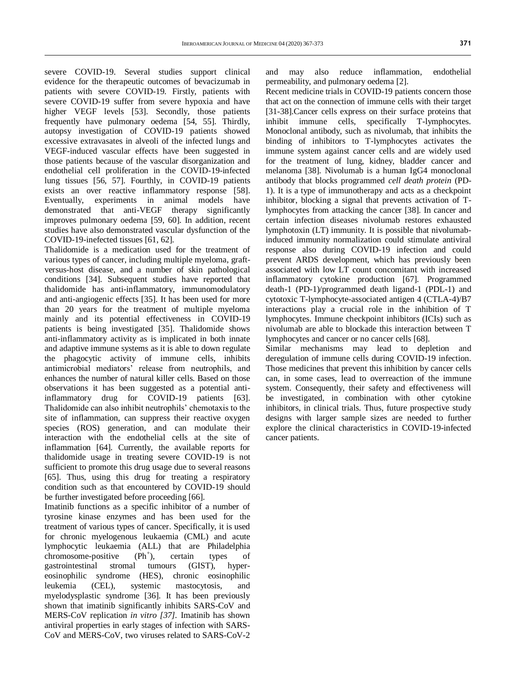severe COVID-19. Several studies support clinical evidence for the therapeutic outcomes of bevacizumab in patients with severe COVID-19. Firstly, patients with severe COVID-19 suffer from severe hypoxia and have higher VEGF levels [53]. Secondly, those patients frequently have pulmonary oedema [54, 55]. Thirdly, autopsy investigation of COVID-19 patients showed excessive extravasates in alveoli of the infected lungs and VEGF-induced vascular effects have been suggested in those patients because of the vascular disorganization and endothelial cell proliferation in the COVID-19-infected lung tissues [56, 57]. Fourthly, in COVID-19 patients exists an over reactive inflammatory response [58]. Eventually, experiments in animal models have demonstrated that anti-VEGF therapy significantly improves pulmonary oedema [59, 60]. In addition, recent studies have also demonstrated vascular dysfunction of the COVID-19-inefected tissues [61, 62].

Thalidomide is a medication used for the treatment of various types of cancer, including [multiple myeloma,](https://en.wikipedia.org/wiki/Multiple_myeloma) [graft](https://en.wikipedia.org/wiki/Graft-versus-host_disease)[versus-host disease,](https://en.wikipedia.org/wiki/Graft-versus-host_disease) and a number of skin pathological conditions [34]. Subsequent studies have reported that thalidomide has anti-inflammatory, immunomodulatory and anti-angiogenic effects [35]. It has been used for more than 20 years for the treatment of multiple myeloma mainly and its potential effectiveness in COVID-19 patients is being investigated [35]. Thalidomide shows anti-inflammatory activity as is implicated in both innate and adaptive immune systems as it is able to down regulate the phagocytic activity of immune cells, inhibits antimicrobial mediators' release from neutrophils, and enhances the number of natural killer cells. Based on those observations it has been suggested as a potential antiinflammatory drug for COVID-19 patients [63]. Thalidomide can also inhibit neutrophils' chemotaxis to the site of inflammation, can suppress their reactive oxygen species (ROS) generation, and can modulate their interaction with the endothelial cells at the site of inflammation [64]. Currently, the available reports for thalidomide usage in treating severe COVID-19 is not sufficient to promote this drug usage due to several reasons [65]. Thus, using this drug for treating a respiratory condition such as that encountered by COVID-19 should be further investigated before proceeding [66].

Imatinib functions as a specific inhibitor of a number of tyrosine kinase enzymes and has been used for the treatment of various types of cancer. Specifically, it is used for chronic myelogenous leukaemia (CML) and acute lymphocytic leukaemia (ALL) that are Philadelphia chromosome-positive  $(Ph<sup>+</sup>)$ , ), certain types of gastrointestinal stromal tumours (GIST), hypereosinophilic syndrome (HES), chronic eosinophilic leukemia (CEL), systemic mastocytosis, and myelodysplastic syndrome [36]. It has been previously shown that imatinib significantly inhibits SARS-CoV and MERS-CoV replication *in vitro [37].* Imatinib has shown antiviral properties in early stages of infection with SARS-CoV and MERS-CoV, two viruses related to SARS-CoV-2

and may also reduce inflammation, endothelial permeability, and pulmonary oedema [2].

Recent medicine trials in COVID-19 patients concern those that act on the connection of immune cells with their target [31-38].Cancer cells express on their surface proteins that inhibit immune cells, specifically T-lymphocytes. Monoclonal antibody, such as nivolumab, that inhibits the binding of inhibitors to T-lymphocytes activates the immune system against cancer cells and are widely used for the treatment of lung, kidney, bladder cancer and melanoma [38]. Nivolumab is a human [IgG4](https://en.wikipedia.org/wiki/Immunoglobulin_G) monoclonal antibody that blocks programmed *cell death protein* (PD-1). It is a type of immunotherapy and acts as a checkpoint inhibitor, blocking a signal that prevents activation of Tlymphocytes from attacking the cancer [38]. In cancer and certain infection diseases nivolumab restores exhausted lymphotoxin (LT) immunity. It is possible that nivolumabinduced immunity normalization could stimulate antiviral response also during COVID-19 infection and could prevent ARDS development, which has previously been associated with low LT count concomitant with increased inflammatory cytokine production [67]. Programmed death-1 (PD-1)/programmed death ligand-1 (PDL-1) and cytotoxic T-lymphocyte-associated antigen 4 (CTLA-4)/B7 interactions play a crucial role in the inhibition of T lymphocytes. Immune checkpoint inhibitors (ICIs) such as nivolumab are able to blockade this interaction between T lymphocytes and cancer or no cancer cells [68].

Similar mechanisms may lead to depletion and deregulation of immune cells during COVID-19 infection. Those medicines that prevent this inhibition by cancer cells can, in some cases, lead to overreaction of the immune system. Consequently, their safety and effectiveness will be investigated, in combination with other cytokine inhibitors, in clinical trials. Thus, future prospective study designs with larger sample sizes are needed to further explore the clinical characteristics in COVID-19-infected cancer patients.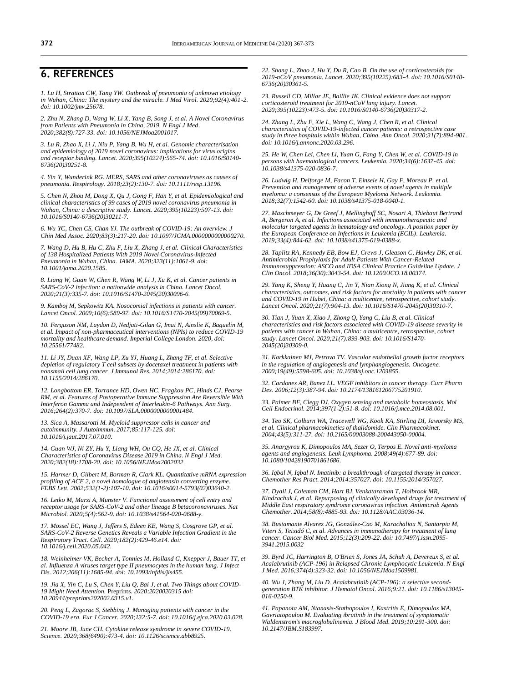## **6. REFERENCES**

*1. Lu H, Stratton CW, Tang YW. Outbreak of pneumonia of unknown etiology in Wuhan, China: The mystery and the miracle. J Med Virol. 2020;92(4):401-2. doi[: 10.1002/jmv.25678.](https://doi.org/10.1002/jmv.25678)*

*2. Zhu N, Zhang D, Wang W, Li X, Yang B, Song J, et al. A Novel Coronavirus from Patients with Pneumonia in China, 2019. N Engl J Med. 2020;382(8):727-33. doi[: 10.1056/NEJMoa2001017.](https://doi.org/10.1056/nejmoa2001017)* 

*3. Lu R, Zhao X, Li J, Niu P, Yang B, Wu H, et al. Genomic characterisation and epidemiology of 2019 novel coronavirus: implications for virus origins and receptor binding. Lancet. 2020;395(10224):565-74. doi[: 10.1016/S0140-](https://doi.org/10.1016/s0140-6736(20)30251-8) [6736\(20\)30251-8.](https://doi.org/10.1016/s0140-6736(20)30251-8)* 

*4. Yin Y, Wunderink RG. MERS, SARS and other coronaviruses as causes of pneumonia. Respirology. 2018;23(2):130-7. doi[: 10.1111/resp.13196.](https://doi.org/10.1111/resp.13196)* 

*5. Chen N, Zhou M, Dong X, Qu J, Gong F, Han Y, et al. Epidemiological and clinical characteristics of 99 cases of 2019 novel coronavirus pneumonia in Wuhan, China: a descriptive study. Lancet. 2020;395(10223):507-13. doi: [10.1016/S0140-6736\(20\)30211-7.](https://doi.org/10.1016/s0140-6736(20)30211-7)*

*6. Wu YC, Chen CS, Chan YJ. The outbreak of COVID-19: An overview. J Chin Med Assoc. 2020;83(3):217-20. doi[: 10.1097/JCMA.0000000000000270.](https://doi.org/10.1097/jcma.0000000000000270)*

*7. Wang D, Hu B, Hu C, Zhu F, Liu X, Zhang J, et al. Clinical Characteristics of 138 Hospitalized Patients With 2019 Novel Coronavirus-Infected Pneumonia in Wuhan, China. JAMA. 2020;323(11):1061-9. doi: [10.1001/jama.2020.1585.](https://doi.org/10.1001/jama.2020.1585)* 

*8. Liang W, Guan W, Chen R, Wang W, Li J[, Xu K,](https://www.ncbi.nlm.nih.gov/pubmed/?term=Xu%20K%5BAuthor%5D&cauthor=true&cauthor_uid=32066541) et al. Cancer patients in SARS-CoV-2 infection: a nationwide analysis in China. Lancet Oncol. 2020;21(3):335-7. doi: [10.1016/S1470-2045\(20\)30096-6.](https://doi.org/10.1016/s1470-2045(20)30096-6)*

*9. Kamboj M, Sepkowitz KA. Nosocomial infections in patients with cancer. Lancet Oncol. 2009;10(6):589-97. doi[: 10.1016/S1470-2045\(09\)70069-5.](https://doi.org/10.1016/s1470-2045(09)70069-5)*

*10. Ferguson NM, Laydon D, Nedjati-Gilan G, Imai N, Ainslie K, Baguelin M, et al. Impact of non-pharmaceutical interventions (NPIs) to reduce COVID-19 mortality and healthcare demand. Imperial College London. 2020, doi: [10.25561/77482.](https://doi.org/10.25561/77482)*

*11. Li JY, Duan XF, Wang LP, Xu YJ, Huang L, Zhang TF, et al. Selective depletion of regulatory T cell subsets by docetaxel treatment in patients with nonsmall cell lung cancer. J Immunol Res. 2014;2014:286170. doi: [10.1155/2014/286170.](https://doi.org/10.1155/2014/286170)* 

*12. Longbottom ER, Torrance HD, Owen HC, Fragkou PC, Hinds CJ, Pearse RM, et al. Features of Postoperative Immune Suppression Are Reversible With Interferon Gamma and Independent of Interleukin-6 Pathways. Ann Surg. 2016;264(2):370-7. doi[: 10.1097/SLA.0000000000001484.](https://doi.org/10.1097/sla.0000000000001484)* 

*13. Sica A, Massarotti M. Myeloid suppressor cells in cancer and autoimmunity. J Autoimmun. 2017;85:117-125. doi: [10.1016/j.jaut.2017.07.010.](https://doi.org/10.1016/j.jaut.2017.07.010)* 

*14. Guan WJ, Ni ZY, Hu Y, Liang WH, Ou CQ, He JX, et al. Clinical Characteristics of Coronavirus Disease 2019 in China. N Engl J Med. 2020;382(18):1708-20. doi[: 10.1056/NEJMoa2002032.](https://doi.org/10.1056/nejmoa2002032)* 

*15. Harmer D, Gilbert M, Borman R, Clark KL. Quantitative mRNA expression profiling of ACE 2, a novel homologue of angiotensin converting enzyme. FEBS Lett. 2002;532(1-2):107-10. doi[: 10.1016/s0014-5793\(02\)03640-2.](https://doi.org/10.1016/s0014-5793(02)03640-2)*

*16. Letko M, Marzi A, Munster V. Functional assessment of cell entry and receptor usage for SARS-CoV-2 and other lineage B betacoronaviruses. Nat Microbiol. 2020;5(4):562-9. doi: [10.1038/s41564-020-0688-y.](https://doi.org/10.1038/s41564-020-0688-y)* 

*17. Mossel EC, Wang J, Jeffers S, Edeen KE, Wang S, Cosgrove GP, et al. SARS-CoV-2 Reverse Genetics Reveals a Variable Infection Gradient in the Respiratory Tract. Cell. 2020;182(2):429-46.e14. doi: [10.1016/j.cell.2020.05.042.](https://doi.org/10.1016/j.cell.2020.05.042)* 

*18. Weinheimer VK, Becher A, Tonnies M, Holland G, Knepper J, Bauer TT, et al. Influenza A viruses target type II pneumocytes in the human lung. J Infect Dis. 2012;206(11):1685-94. doi[: 10.1093/infdis/jis455.](https://doi.org/10.1093/infdis/jis455)* 

*19. Jia X, Yin C, Lu S, Chen Y, Liu Q, Bai J, et al. Two Things about COVID-19 Might Need Attention.* Preprints*. 2020;2020020315 doi: [10.20944/preprints202002.0315.v1.](https://doi.org/10.20944/preprints202002.0315.v1)* 

*20. Peng L, Zagorac S, Stebbing J. Managing patients with cancer in the COVID-19 era. Eur J Cancer. 2020;132:5-7. doi[: 10.1016/j.ejca.2020.03.028.](https://doi.org/10.1016/j.ejca.2020.03.028)*

*21. Moore JB, June CH. Cytokine release syndrome in severe COVID-19. Science. 2020;368(6490):473-4. doi[: 10.1126/science.abb8925.](https://doi.org/10.1126/science.abb8925)*

*22. Shang L, Zhao J, Hu Y, Du R, Cao B. On the use of corticosteroids for 2019-nCoV pneumonia. Lancet. 2020;395(10225):683-4. doi[: 10.1016/S0140-](https://doi.org/10.1016/s0140-6736(20)30361-5) [6736\(20\)30361-5.](https://doi.org/10.1016/s0140-6736(20)30361-5)* 

*23. Russell CD, Millar JE, Baillie JK. Clinical evidence does not support corticosteroid treatment for 2019-nCoV lung injury. Lancet. 2020;395(10223):473-5. doi[: 10.1016/S0140-6736\(20\)30317-2.](https://doi.org/10.1016/s0140-6736(20)30317-2)*

*24. Zhang L, Zhu F, Xie L, Wang C, Wang J, Chen R, et al. Clinical characteristics of COVID-19-infected cancer patients: a retrospective case study in three hospitals within Wuhan, China. Ann Oncol. 2020;31(7):894-901. doi[: 10.1016/j.annonc.2020.03.296.](https://doi.org/10.1016/j.annonc.2020.03.296)* 

*25. He W, Chen Lei, Chen Li, Yuan G, Fang Y, Chen W, et al. COVID-19 in persons with haematological cancers. Leukemia. 2020;34(6):1637-45. doi: [10.1038/s41375-020-0836-7.](https://doi.org/10.1038/s41375-020-0836-7)* 

*26. Ludwig H, Delforge M, Facon T, Einsele H, Gay F, Moreau P, et al. Prevention and management of adverse events of novel agents in multiple myeloma: a consensus of the European Myeloma Network. Leukemia. 2018;32(7):1542-60. doi[: 10.1038/s41375-018-0040-1.](https://doi.org/10.1038/s41375-018-0040-1)* 

*27. Maschmeyer G, De Greef J, Mellinghoff SC, Nosari A, Thiebaut Bertrand A, Bergeron A, et al. Infections associated with immunotherapeutic and molecular targeted agents in hematology and oncology. A position paper by the European Conference on Infections in Leukemia (ECIL). Leukemia. 2019;33(4):844-62. doi[: 10.1038/s41375-019-0388-x.](https://doi.org/10.1038/s41375-019-0388-x)*

*28. Taplitz RA, Kennedy EB, Bow EJ, Crews J, Gleason C, Hawley DK, et al. Antimicrobial Prophylaxis for Adult Patients With Cancer-Related Immunosuppression: ASCO and IDSA Clinical Practice Guideline Update. J Clin Oncol. 2018;36(30):3043-54. doi[: 10.1200/JCO.18.00374.](https://doi.org/10.1200/jco.18.00374)* 

*29. Yang K, Sheng Y, Huang C, Jin Y, Nian Xiong N, Jiang K, et al. Clinical characteristics, outcomes, and risk factors for mortality in patients with cancer and COVID-19 in Hubei, China: a multicentre, retrospective, cohort study. Lancet Oncol. 2020;21(7):904-13. doi[: 10.1016/S1470-2045\(20\)30310-7.](https://doi.org/10.1016/s1470-2045(20)30310-7)* 

*30. Tian J, Yuan X, Xiao J, Zhong Q, Yang C, Liu B, et al. Clinical characteristics and risk factors associated with COVID-19 disease severity in patients with cancer in Wuhan, China: a multicentre, retrospective, cohort study. Lancet Oncol. 2020;21(7):893-903. doi[: 10.1016/S1470-](https://doi.org/10.1016/s1470-2045(20)30309-0) [2045\(20\)30309-0.](https://doi.org/10.1016/s1470-2045(20)30309-0)* 

*31. Karkkainen MJ, Petrova TV. Vascular endothelial growth factor receptors in the regulation of angiogenesis and lymphangiogenesis. Oncogene. 2000;19(49):5598-605. doi[: 10.1038/sj.onc.1203855.](https://doi.org/10.1038/sj.onc.1203855)* 

*32. Cardones AR, Banez LL. VEGF inhibitors in cancer therapy. Curr Pharm Des. 2006;12(3):387-94. doi[: 10.2174/138161206775201910.](https://doi.org/10.2174/138161206775201910)*

*33. Palmer BF, Clegg DJ. Oxygen sensing and metabolic homeostasis. Mol Cell Endocrinol. 2014;397(1-2):51-8. doi[: 10.1016/j.mce.2014.08.001.](https://doi.org/10.1016/j.mce.2014.08.001)* 

*34. Teo SK, Colburn WA, Tracewell WG, Kook KA, Stirling DI, Jaworsky MS, et al. Clinical pharmacokinetics of thalidomide. Clin Pharmacokinet. 2004;43(5):311-27. doi[: 10.2165/00003088-200443050-00004.](https://doi.org/10.2165/00003088-200443050-00004)*

*35. Anargyrou K, Dimopoulos MA, Sezer O, Terpos E. Novel anti-myeloma agents and angiogenesis. Leuk Lymphoma. 2008;49(4):677-89. doi: [10.1080/10428190701861686.](https://doi.org/10.1080/10428190701861686)* 

*36. Iqbal N, Iqbal N. Imatinib: a breakthrough of targeted therapy in cancer. Chemother Res Pract. 2014;2014:357027. doi[: 10.1155/2014/357027.](https://doi.org/10.1155/2014/357027)* 

*37. Dyall J, Coleman CM, Hart BJ, Venkataraman T, Holbrook MR, Kindrachuk J, et al. Repurposing of clinically developed drugs for treatment of Middle East respiratory syndrome coronavirus infection. Antimicrob Agents Chemother. 2014;58(8):4885-93. doi[: 10.1128/AAC.03036-14.](https://doi.org/10.1128/aac.03036-14)* 

*38. Bustamante Alvarez JG, González-Cao M, Karachaliou N, Santarpia M, Viteri S, Teixidó C, et al. Advances in immunotherapy for treatment of lung cancer. Cancer Biol Med. 2015;12(3):209-22. doi[: 10.7497/j.issn.2095-](https://doi.org/10.7497/j.issn.2095-3941.2015.0032) [3941.2015.0032](https://doi.org/10.7497/j.issn.2095-3941.2015.0032)*

*39. Byrd JC, Harrington B, O'Brien S, Jones JA, Schuh A, Devereux S, et al. Acalabrutinib (ACP-196) in Relapsed Chronic Lymphocytic Leukemia. N Engl J Med. 2016;374(4):323-32. doi[: 10.1056/NEJMoa1509981.](https://doi.org/10.1056/nejmoa1509981)*

*40. Wu J, Zhang M, Liu D. Acalabrutinib (ACP-196): a selective second-generation BTK inhibitor. J Hematol Oncol. 2016;9:21. doi[: 10.1186/s13045-](https://doi.org/10.1186/s13045-016-0250-9) [016-0250-9.](https://doi.org/10.1186/s13045-016-0250-9)*

*41. Papanota AM, Ntanasis-Stathopoulos I, Kastritis E, Dimopoulos MA, Gavriatopoulou M. Evaluating ibrutinib in the treatment of symptomatic Waldenstrom's macroglobulinemia. J Blood Med. 2019;10:291-300. doi: [10.2147/JBM.S183997.](https://doi.org/10.2147/jbm.s183997)*